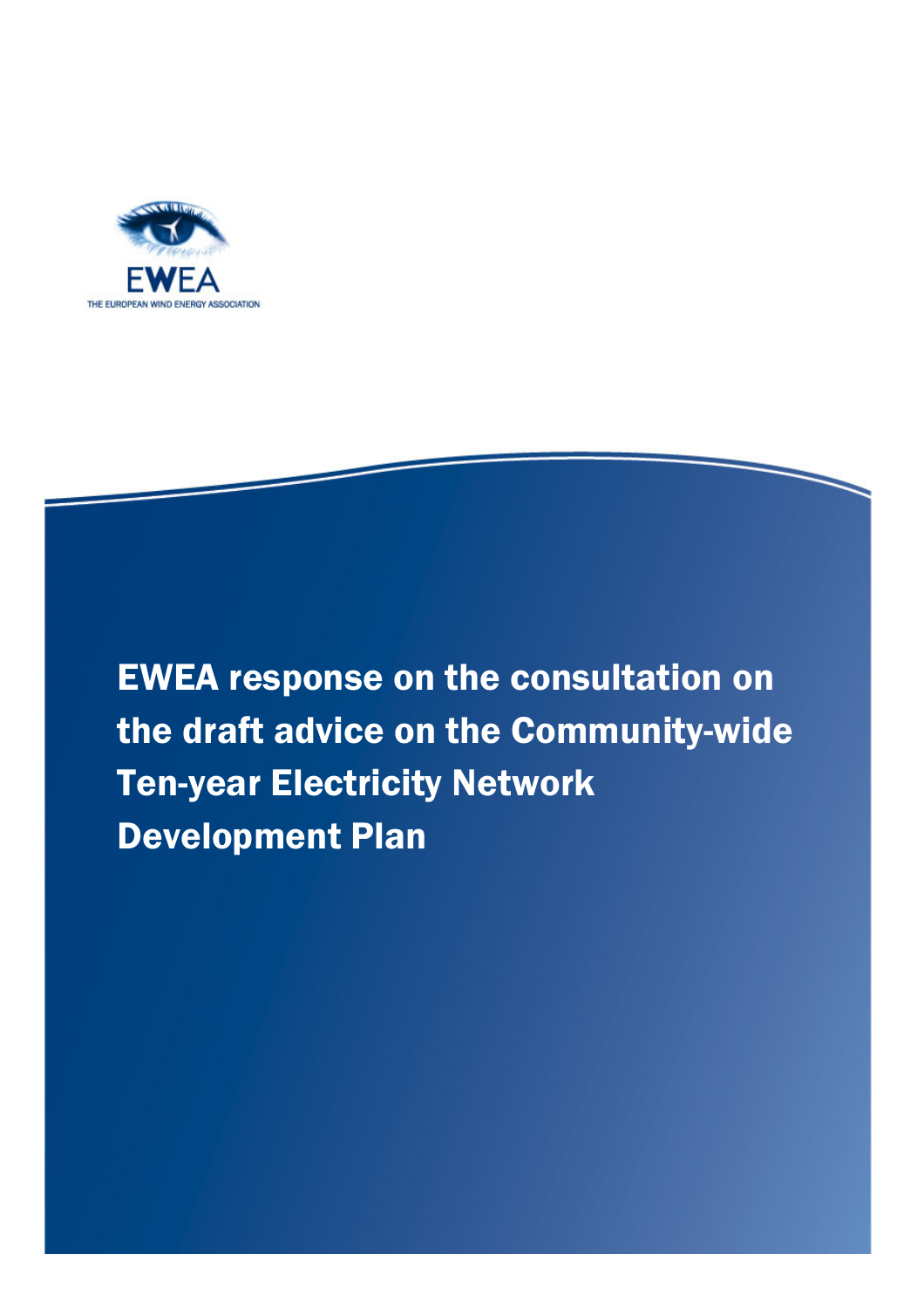

EWEA response on the consultation on the draft advice on the Community-wide Ten-year Electricity Network Development Plan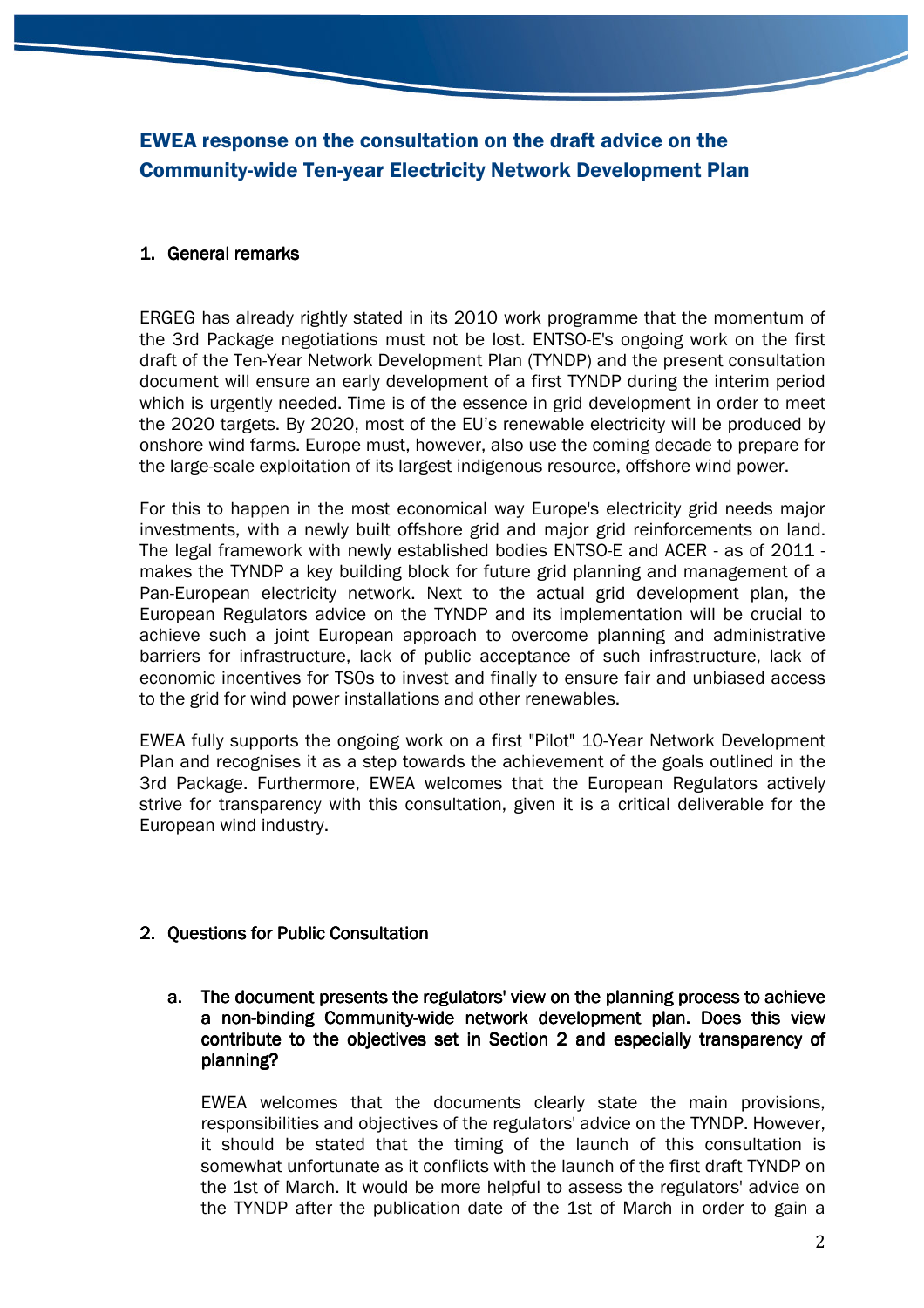# EWEA response on the consultation on the draft advice on the Community-wide Ten-year Electricity Network Development Plan

## 1. General remarks

ERGEG has already rightly stated in its 2010 work programme that the momentum of the 3rd Package negotiations must not be lost. ENTSO-E's ongoing work on the first draft of the Ten-Year Network Development Plan (TYNDP) and the present consultation document will ensure an early development of a first TYNDP during the interim period which is urgently needed. Time is of the essence in grid development in order to meet the 2020 targets. By 2020, most of the EU's renewable electricity will be produced by onshore wind farms. Europe must, however, also use the coming decade to prepare for the large-scale exploitation of its largest indigenous resource, offshore wind power.

For this to happen in the most economical way Europe's electricity grid needs major investments, with a newly built offshore grid and major grid reinforcements on land. The legal framework with newly established bodies ENTSO-E and ACER - as of 2011 makes the TYNDP a key building block for future grid planning and management of a Pan-European electricity network. Next to the actual grid development plan, the European Regulators advice on the TYNDP and its implementation will be crucial to achieve such a joint European approach to overcome planning and administrative barriers for infrastructure, lack of public acceptance of such infrastructure, lack of economic incentives for TSOs to invest and finally to ensure fair and unbiased access to the grid for wind power installations and other renewables.

EWEA fully supports the ongoing work on a first "Pilot" 10-Year Network Development Plan and recognises it as a step towards the achievement of the goals outlined in the 3rd Package. Furthermore, EWEA welcomes that the European Regulators actively strive for transparency with this consultation, given it is a critical deliverable for the European wind industry.

- 2. Questions for Public Consultation
	- a. The document presents the regulators' view on the planning process to achieve a non-binding Community-wide network development plan. Does this view contribute to the objectives set in Section 2 and especially transparency of planning?

EWEA welcomes that the documents clearly state the main provisions, responsibilities and objectives of the regulators' advice on the TYNDP. However, it should be stated that the timing of the launch of this consultation is somewhat unfortunate as it conflicts with the launch of the first draft TYNDP on the 1st of March. It would be more helpful to assess the regulators' advice on the TYNDP after the publication date of the 1st of March in order to gain a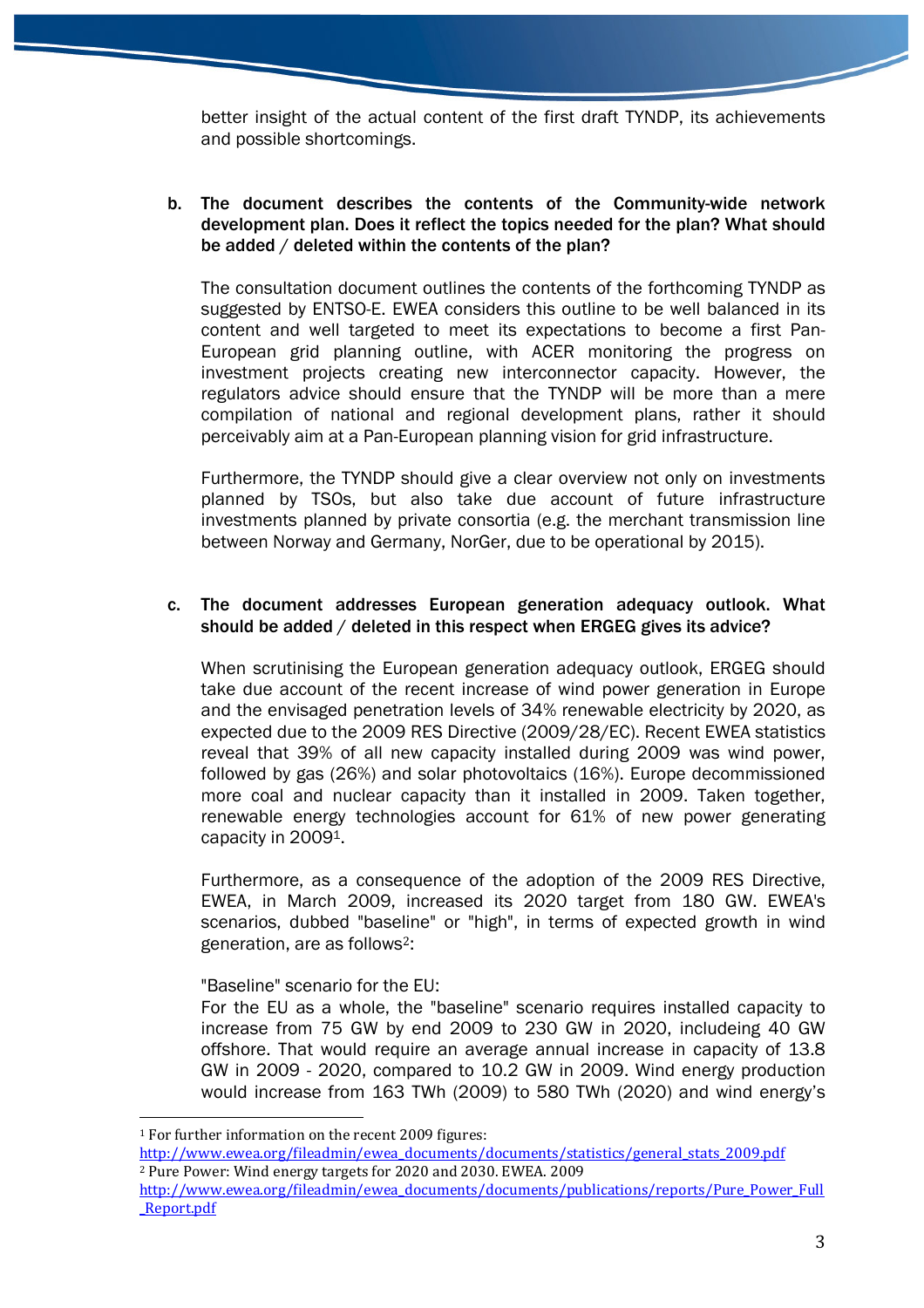better insight of the actual content of the first draft TYNDP, its achievements and possible shortcomings.

b. The document describes the contents of the Community-wide network development plan. Does it reflect the topics needed for the plan? What should be added / deleted within the contents of the plan?

The consultation document outlines the contents of the forthcoming TYNDP as suggested by ENTSO-E. EWEA considers this outline to be well balanced in its content and well targeted to meet its expectations to become a first Pan-European grid planning outline, with ACER monitoring the progress on investment projects creating new interconnector capacity. However, the regulators advice should ensure that the TYNDP will be more than a mere compilation of national and regional development plans, rather it should perceivably aim at a Pan-European planning vision for grid infrastructure.

Furthermore, the TYNDP should give a clear overview not only on investments planned by TSOs, but also take due account of future infrastructure investments planned by private consortia (e.g. the merchant transmission line between Norway and Germany, NorGer, due to be operational by 2015).

### c. The document addresses European generation adequacy outlook. What should be added / deleted in this respect when ERGEG gives its advice?

When scrutinising the European generation adequacy outlook, ERGEG should take due account of the recent increase of wind power generation in Europe and the envisaged penetration levels of 34% renewable electricity by 2020, as expected due to the 2009 RES Directive (2009/28/EC). Recent EWEA statistics reveal that 39% of all new capacity installed during 2009 was wind power, followed by gas (26%) and solar photovoltaics (16%). Europe decommissioned more coal and nuclear capacity than it installed in 2009. Taken together, renewable energy technologies account for 61% of new power generating capacity in 20091.

Furthermore, as a consequence of the adoption of the 2009 RES Directive, EWEA, in March 2009, increased its 2020 target from 180 GW. EWEA's scenarios, dubbed "baseline" or "high", in terms of expected growth in wind generation, are as follows2:

"Baseline" scenario for the EU:

For the EU as a whole, the "baseline" scenario requires installed capacity to increase from 75 GW by end 2009 to 230 GW in 2020, includeing 40 GW offshore. That would require an average annual increase in capacity of 13.8 GW in 2009 - 2020, compared to 10.2 GW in 2009. Wind energy production would increase from 163 TWh (2009) to 580 TWh (2020) and wind energy's

http://www.ewea.org/fileadmin/ewea\_documents/documents/statistics/general\_stats\_2009.pdf <sup>2</sup> Pure Power: Wind energy targets for 2020 and 2030. EWEA. 2009

 $\overline{a}$ <sup>1</sup> For further information on the recent 2009 figures:

http://www.ewea.org/fileadmin/ewea\_documents/documents/publications/reports/Pure\_Power\_Full \_Report.pdf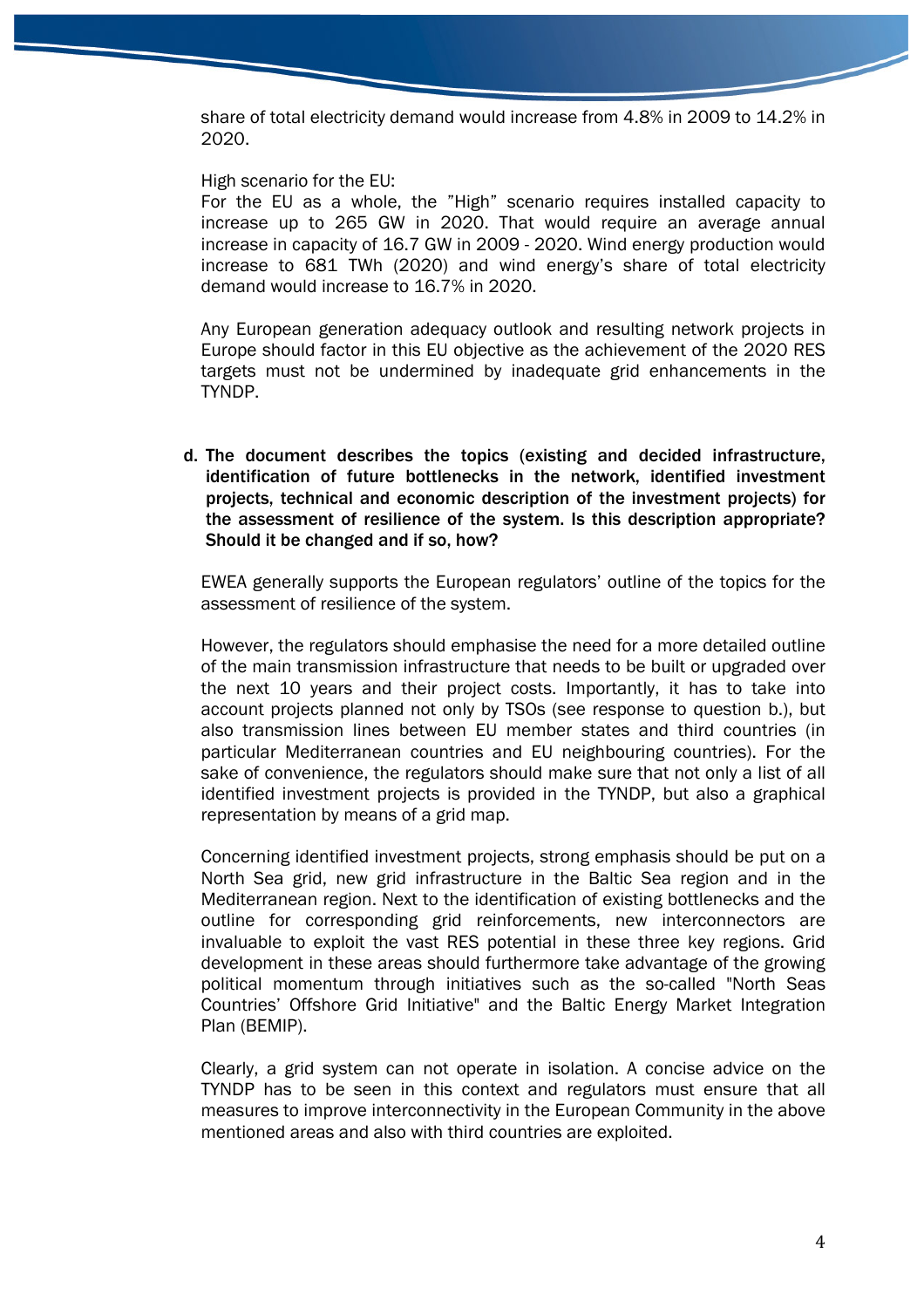share of total electricity demand would increase from 4.8% in 2009 to 14.2% in 2020.

High scenario for the EU:

For the EU as a whole, the "High" scenario requires installed capacity to increase up to 265 GW in 2020. That would require an average annual increase in capacity of 16.7 GW in 2009 - 2020. Wind energy production would increase to 681 TWh (2020) and wind energy's share of total electricity demand would increase to 16.7% in 2020.

Any European generation adequacy outlook and resulting network projects in Europe should factor in this EU objective as the achievement of the 2020 RES targets must not be undermined by inadequate grid enhancements in the TYNDP.

d. The document describes the topics (existing and decided infrastructure, identification of future bottlenecks in the network, identified investment projects, technical and economic description of the investment projects) for the assessment of resilience of the system. Is this description appropriate? Should it be changed and if so, how?

EWEA generally supports the European regulators' outline of the topics for the assessment of resilience of the system.

However, the regulators should emphasise the need for a more detailed outline of the main transmission infrastructure that needs to be built or upgraded over the next 10 years and their project costs. Importantly, it has to take into account projects planned not only by TSOs (see response to question b.), but also transmission lines between EU member states and third countries (in particular Mediterranean countries and EU neighbouring countries). For the sake of convenience, the regulators should make sure that not only a list of all identified investment projects is provided in the TYNDP, but also a graphical representation by means of a grid map.

Concerning identified investment projects, strong emphasis should be put on a North Sea grid, new grid infrastructure in the Baltic Sea region and in the Mediterranean region. Next to the identification of existing bottlenecks and the outline for corresponding grid reinforcements, new interconnectors are invaluable to exploit the vast RES potential in these three key regions. Grid development in these areas should furthermore take advantage of the growing political momentum through initiatives such as the so-called "North Seas Countries' Offshore Grid Initiative" and the Baltic Energy Market Integration Plan (BEMIP).

Clearly, a grid system can not operate in isolation. A concise advice on the TYNDP has to be seen in this context and regulators must ensure that all measures to improve interconnectivity in the European Community in the above mentioned areas and also with third countries are exploited.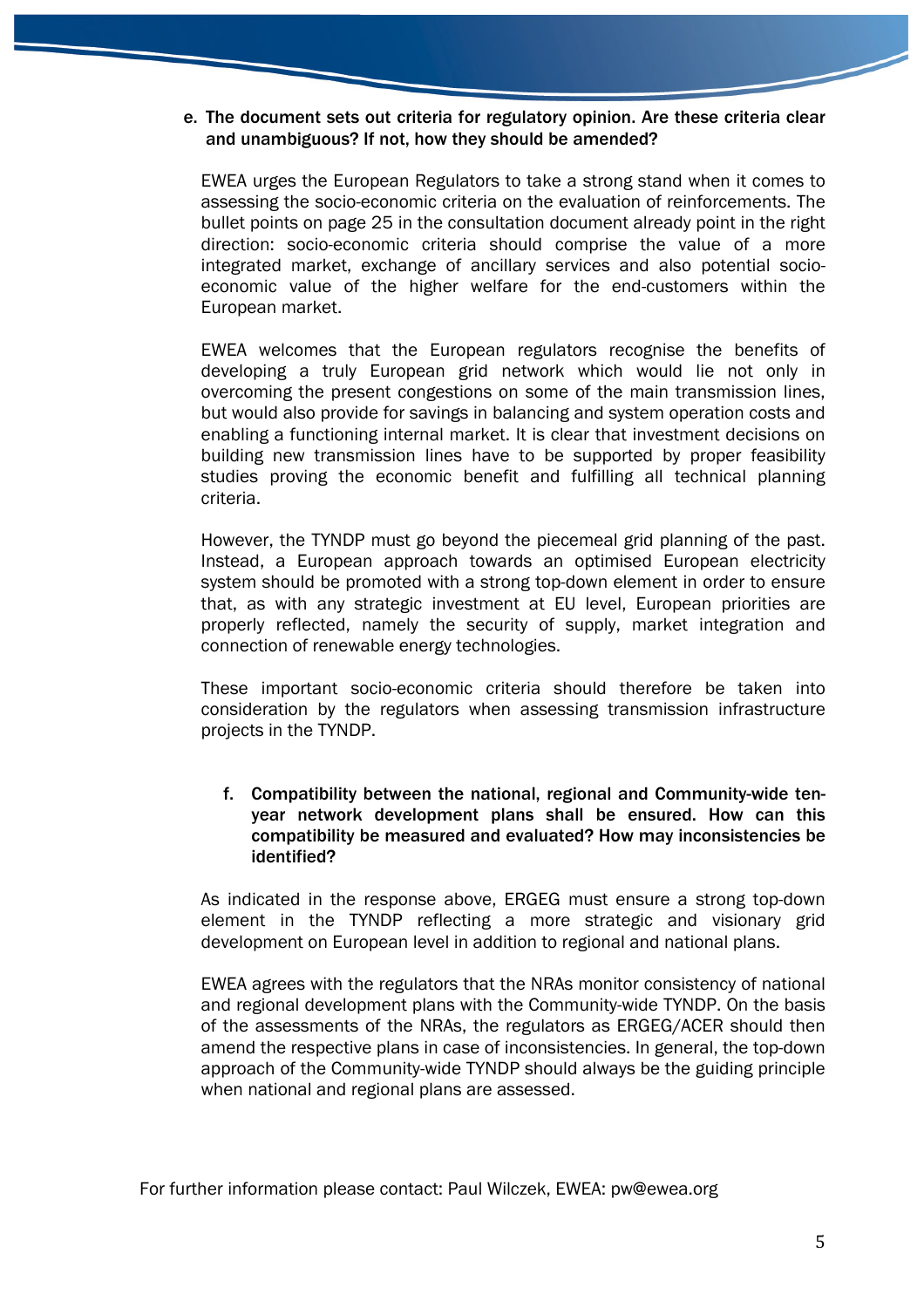#### e. The document sets out criteria for regulatory opinion. Are these criteria clear and unambiguous? If not, how they should be amended?

EWEA urges the European Regulators to take a strong stand when it comes to assessing the socio-economic criteria on the evaluation of reinforcements. The bullet points on page 25 in the consultation document already point in the right direction: socio-economic criteria should comprise the value of a more integrated market, exchange of ancillary services and also potential socioeconomic value of the higher welfare for the end-customers within the European market.

EWEA welcomes that the European regulators recognise the benefits of developing a truly European grid network which would lie not only in overcoming the present congestions on some of the main transmission lines, but would also provide for savings in balancing and system operation costs and enabling a functioning internal market. It is clear that investment decisions on building new transmission lines have to be supported by proper feasibility studies proving the economic benefit and fulfilling all technical planning criteria.

However, the TYNDP must go beyond the piecemeal grid planning of the past. Instead, a European approach towards an optimised European electricity system should be promoted with a strong top-down element in order to ensure that, as with any strategic investment at EU level, European priorities are properly reflected, namely the security of supply, market integration and connection of renewable energy technologies.

These important socio-economic criteria should therefore be taken into consideration by the regulators when assessing transmission infrastructure projects in the TYNDP.

## f. Compatibility between the national, regional and Community-wide tenyear network development plans shall be ensured. How can this compatibility be measured and evaluated? How may inconsistencies be identified?

As indicated in the response above, ERGEG must ensure a strong top-down element in the TYNDP reflecting a more strategic and visionary grid development on European level in addition to regional and national plans.

EWEA agrees with the regulators that the NRAs monitor consistency of national and regional development plans with the Community-wide TYNDP. On the basis of the assessments of the NRAs, the regulators as ERGEG/ACER should then amend the respective plans in case of inconsistencies. In general, the top-down approach of the Community-wide TYNDP should always be the guiding principle when national and regional plans are assessed.